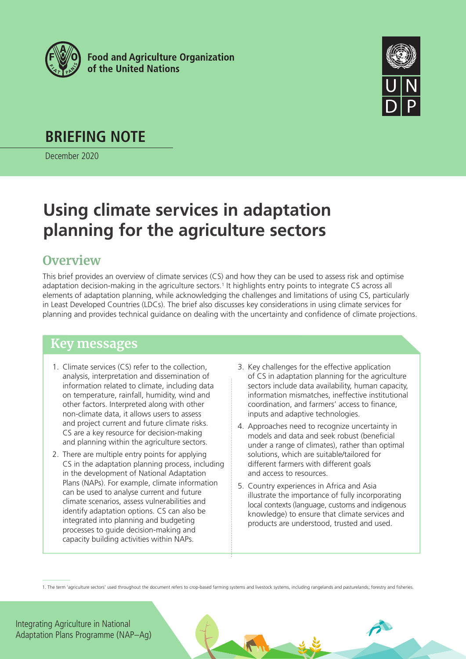

**Food and Agriculture Organization** of the United Nations



# **BRIEFING NOTE**

December 2020

# **Using climate services in adaptation planning for the agriculture sectors**

# **Overview**

This brief provides an overview of climate services (CS) and how they can be used to assess risk and optimise adaptation decision-making in the agriculture sectors.<sup>1</sup> It highlights entry points to integrate CS across all elements of adaptation planning, while acknowledging the challenges and limitations of using CS, particularly in Least Developed Countries (LDCs). The brief also discusses key considerations in using climate services for planning and provides technical guidance on dealing with the uncertainty and confidence of climate projections.

### **Key messages**

- 1. Climate services (CS) refer to the collection, analysis, interpretation and dissemination of information related to climate, including data on temperature, rainfall, humidity, wind and other factors. Interpreted along with other non-climate data, it allows users to assess and project current and future climate risks. CS are a key resource for decision-making and planning within the agriculture sectors.
- 2. There are multiple entry points for applying CS in the adaptation planning process, including in the development of National Adaptation Plans (NAPs). For example, climate information can be used to analyse current and future climate scenarios, assess vulnerabilities and identify adaptation options. CS can also be integrated into planning and budgeting processes to guide decision-making and capacity building activities within NAPs.
- 3. Key challenges for the effective application of CS in adaptation planning for the agriculture sectors include data availability, human capacity, information mismatches, ineffective institutional coordination, and farmers' access to finance, inputs and adaptive technologies.
- 4. Approaches need to recognize uncertainty in models and data and seek robust (beneficial under a range of climates), rather than optimal solutions, which are suitable/tailored for different farmers with different goals and access to resources.
- 5. Country experiences in Africa and Asia illustrate the importance of fully incorporating local contexts (language, customs and indigenous knowledge) to ensure that climate services and products are understood, trusted and used.

1. The term 'agriculture sectors' used throughout the document refers to crop-based farming systems and livestock systems, including rangelands and pasturelands; forestry and fisheries.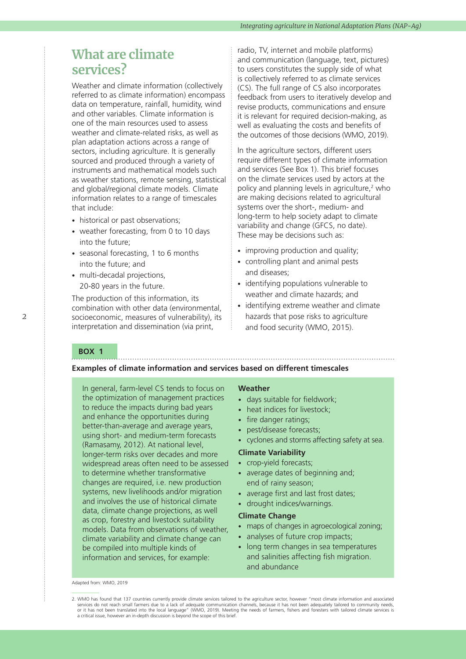### **What are climate services?**

Weather and climate information (collectively referred to as climate information) encompass data on temperature, rainfall, humidity, wind and other variables. Climate information is one of the main resources used to assess weather and climate-related risks, as well as plan adaptation actions across a range of sectors, including agriculture. It is generally sourced and produced through a variety of instruments and mathematical models such as weather stations, remote sensing, statistical and global/regional climate models. Climate information relates to a range of timescales that include:

- historical or past observations;
- weather forecasting, from 0 to 10 days into the future;
- seasonal forecasting, 1 to 6 months into the future; and
- multi-decadal projections, 20-80 years in the future.

The production of this information, its combination with other data (environmental, socioeconomic, measures of vulnerability), its interpretation and dissemination (via print,

radio, TV, internet and mobile platforms) and communication (language, text, pictures) to users constitutes the supply side of what is collectively referred to as climate services (CS). The full range of CS also incorporates feedback from users to iteratively develop and revise products, communications and ensure it is relevant for required decision-making, as well as evaluating the costs and benefits of the outcomes of those decisions (WMO, 2019).

In the agriculture sectors, different users require different types of climate information and services (See Box 1). This brief focuses on the climate services used by actors at the policy and planning levels in agriculture, $<sup>2</sup>$  who</sup> are making decisions related to agricultural systems over the short-, medium- and long-term to help society adapt to climate variability and change (GFCS, no date). These may be decisions such as:

- improving production and quality;
- controlling plant and animal pests and diseases;
- identifying populations vulnerable to weather and climate hazards; and
- identifying extreme weather and climate hazards that pose risks to agriculture and food security (WMO, 2015).

**BOX 1**

**Examples of climate information and services based on different timescales**

In general, farm-level CS tends to focus on the optimization of management practices to reduce the impacts during bad years and enhance the opportunities during better-than-average and average years, using short- and medium-term forecasts (Ramasamy, 2012). At national level, longer-term risks over decades and more widespread areas often need to be assessed to determine whether transformative changes are required, i.e. new production systems, new livelihoods and/or migration and involves the use of historical climate data, climate change projections, as well as crop, forestry and livestock suitability models. Data from observations of weather, climate variability and climate change can be compiled into multiple kinds of information and services, for example:

#### **Weather**

- days suitable for fieldwork;
- heat indices for livestock;
- fire danger ratings;
- pest/disease forecasts;
- cyclones and storms affecting safety at sea.

#### **Climate Variability**

- crop-yield forecasts;
- average dates of beginning and; end of rainy season;
- average first and last frost dates;
- drought indices/warnings.

#### **Climate Change**

- maps of changes in agroecological zoning;
- analyses of future crop impacts;
- long term changes in sea temperatures and salinities affecting fish migration. and abundance

Adapted from: WMO, 2019

<sup>2.</sup> WMO has found that 137 countries currently provide climate services tailored to the agriculture sector, however "most climate information and associated (2. WMO has found that 137 countries currently pervices do not rea or it has not been translated into the local language" (WMO, 2019). Meeting the needs of farmers, fishers and foresters with tailored climate services is<br>a critical issue, however an in-depth discussion is beyond the scope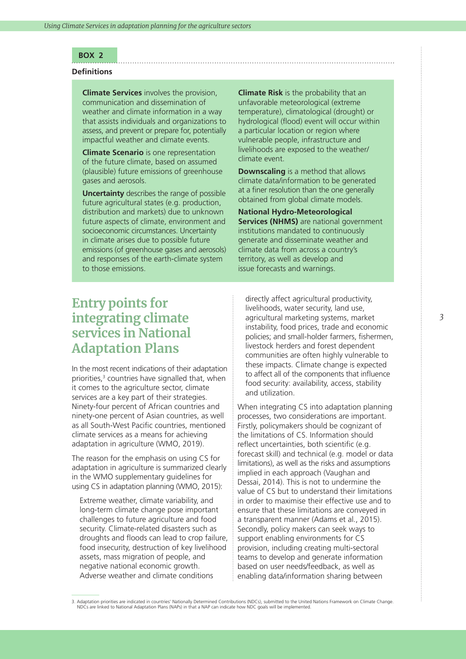### **BOX 2**

#### **Definitions**

**Climate Services** involves the provision, communication and dissemination of weather and climate information in a way that assists individuals and organizations to assess, and prevent or prepare for, potentially impactful weather and climate events.

**Climate Scenario** is one representation of the future climate, based on assumed (plausible) future emissions of greenhouse gases and aerosols.

**Uncertainty** describes the range of possible future agricultural states (e.g. production, distribution and markets) due to unknown future aspects of climate, environment and socioeconomic circumstances. Uncertainty in climate arises due to possible future emissions (of greenhouse gases and aerosols) and responses of the earth-climate system to those emissions.

**Climate Risk** is the probability that an unfavorable meteorological (extreme temperature), climatological (drought) or hydrological (flood) event will occur within a particular location or region where vulnerable people, infrastructure and livelihoods are exposed to the weather/ climate event.

**Downscaling** is a method that allows climate data/information to be generated at a finer resolution than the one generally obtained from global climate models.

**National Hydro-Meteorological Services (NHMS)** are national government institutions mandated to continuously generate and disseminate weather and climate data from across a country's territory, as well as develop and issue forecasts and warnings.

### **Entry points for integrating climate services in National Adaptation Plans**

In the most recent indications of their adaptation priorities,<sup>3</sup> countries have signalled that, when it comes to the agriculture sector, climate services are a key part of their strategies. Ninety-four percent of African countries and ninety-one percent of Asian countries, as well as all South-West Pacific countries, mentioned climate services as a means for achieving adaptation in agriculture (WMO, 2019).

The reason for the emphasis on using CS for adaptation in agriculture is summarized clearly in the WMO supplementary guidelines for using CS in adaptation planning (WMO, 2015):

Extreme weather, climate variability, and long-term climate change pose important challenges to future agriculture and food security. Climate-related disasters such as droughts and floods can lead to crop failure, food insecurity, destruction of key livelihood assets, mass migration of people, and negative national economic growth. Adverse weather and climate conditions

directly affect agricultural productivity, livelihoods, water security, land use, agricultural marketing systems, market instability, food prices, trade and economic policies; and small-holder farmers, fishermen, livestock herders and forest dependent communities are often highly vulnerable to these impacts. Climate change is expected to affect all of the components that influence food security: availability, access, stability and utilization.

When integrating CS into adaptation planning processes, two considerations are important. Firstly, policymakers should be cognizant of the limitations of CS. Information should reflect uncertainties, both scientific (e.g. forecast skill) and technical (e.g. model or data limitations), as well as the risks and assumptions implied in each approach (Vaughan and Dessai, 2014). This is not to undermine the value of CS but to understand their limitations in order to maximise their effective use and to ensure that these limitations are conveyed in a transparent manner (Adams et al., 2015). Secondly, policy makers can seek ways to support enabling environments for CS provision, including creating multi-sectoral teams to develop and generate information based on user needs/feedback, as well as enabling data/information sharing between

<sup>3.</sup> Adaptation priorities are indicated in countries' Nationally Determined Contributions (NDCs), submitted to the United Nations Framework on Climate Change.<br>NDCs are linked to National Adaptation Plans (NAPs) in that a NA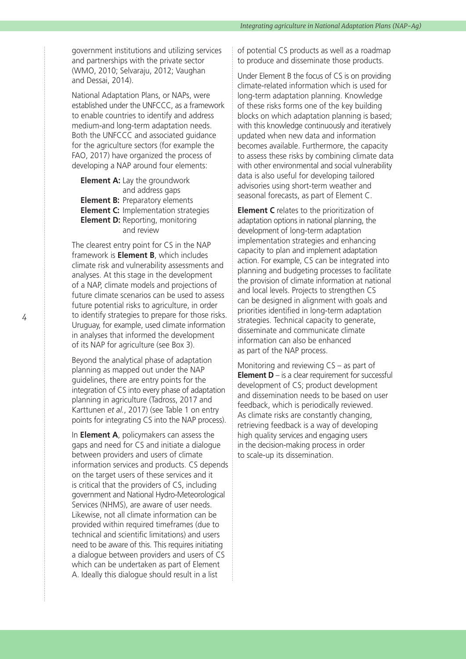government institutions and utilizing services and partnerships with the private sector (WMO, 2010; Selvaraju, 2012; Vaughan and Dessai, 2014).

National Adaptation Plans, or NAPs, were established under the UNFCCC, as a framework to enable countries to identify and address medium-and long-term adaptation needs. Both the UNFCCC and associated guidance for the agriculture sectors (for example the FAO, 2017) have organized the process of developing a NAP around four elements:

**Element A:** Lay the groundwork and address gaps **Element B:** Preparatory elements **Element C:** Implementation strategies **Element D:** Reporting, monitoring and review

The clearest entry point for CS in the NAP framework is **Element B**, which includes climate risk and vulnerability assessments and analyses. At this stage in the development of a NAP, climate models and projections of future climate scenarios can be used to assess future potential risks to agriculture, in order to identify strategies to prepare for those risks. Uruguay, for example, used climate information in analyses that informed the development of its NAP for agriculture (see Box 3).

Beyond the analytical phase of adaptation planning as mapped out under the NAP guidelines, there are entry points for the integration of CS into every phase of adaptation planning in agriculture (Tadross, 2017 and Karttunen *et al.*, 2017) (see Table 1 on entry points for integrating CS into the NAP process).

In **Element A**, policymakers can assess the gaps and need for CS and initiate a dialogue between providers and users of climate information services and products. CS depends on the target users of these services and it is critical that the providers of CS, including government and National Hydro-Meteorological Services (NHMS), are aware of user needs. Likewise, not all climate information can be provided within required timeframes (due to technical and scientific limitations) and users need to be aware of this. This requires initiating a dialogue between providers and users of CS which can be undertaken as part of Element A. Ideally this dialogue should result in a list

of potential CS products as well as a roadmap to produce and disseminate those products.

Under Element B the focus of CS is on providing climate-related information which is used for long-term adaptation planning. Knowledge of these risks forms one of the key building blocks on which adaptation planning is based; with this knowledge continuously and iteratively updated when new data and information becomes available. Furthermore, the capacity to assess these risks by combining climate data with other environmental and social vulnerability data is also useful for developing tailored advisories using short-term weather and seasonal forecasts, as part of Element C.

**Element C** relates to the prioritization of adaptation options in national planning, the development of long-term adaptation implementation strategies and enhancing capacity to plan and implement adaptation action. For example, CS can be integrated into planning and budgeting processes to facilitate the provision of climate information at national and local levels. Projects to strengthen CS can be designed in alignment with goals and priorities identified in long-term adaptation strategies. Technical capacity to generate, disseminate and communicate climate information can also be enhanced as part of the NAP process.

Monitoring and reviewing CS – as part of **Element D** – is a clear requirement for successful development of CS; product development and dissemination needs to be based on user feedback, which is periodically reviewed. As climate risks are constantly changing, retrieving feedback is a way of developing high quality services and engaging users in the decision-making process in order to scale-up its dissemination.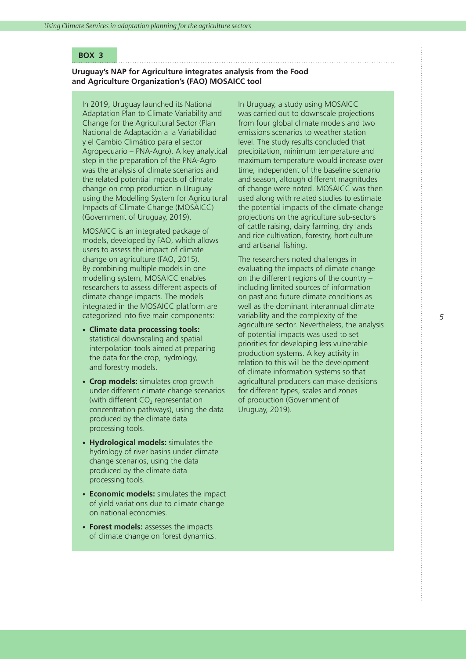#### **BOX 3**

#### **Uruguay's NAP for Agriculture integrates analysis from the Food and Agriculture Organization's (FAO) MOSAICC tool**

In 2019, Uruguay launched its National Adaptation Plan to Climate Variability and Change for the Agricultural Sector (Plan Nacional de Adaptación a la Variabilidad y el Cambio Climático para el sector Agropecuario – PNA-Agro). A key analytical step in the preparation of the PNA-Agro was the analysis of climate scenarios and the related potential impacts of climate change on crop production in Uruguay using the Modelling System for Agricultural Impacts of Climate Change (MOSAICC) (Government of Uruguay, 2019).

MOSAICC is an integrated package of models, developed by FAO, which allows users to assess the impact of climate change on agriculture (FAO, 2015). By combining multiple models in one modelling system, MOSAICC enables researchers to assess different aspects of climate change impacts. The models integrated in the MOSAICC platform are categorized into five main components:

- **Climate data processing tools:** statistical downscaling and spatial interpolation tools aimed at preparing the data for the crop, hydrology, and forestry models.
- **Crop models:** simulates crop growth under different climate change scenarios (with different  $CO<sub>2</sub>$  representation concentration pathways), using the data produced by the climate data processing tools.
- **Hydrological models:** simulates the hydrology of river basins under climate change scenarios, using the data produced by the climate data processing tools.
- **Economic models:** simulates the impact of yield variations due to climate change on national economies.
- **Forest models:** assesses the impacts of climate change on forest dynamics.

In Uruguay, a study using MOSAICC was carried out to downscale projections from four global climate models and two emissions scenarios to weather station level. The study results concluded that precipitation, minimum temperature and maximum temperature would increase over time, independent of the baseline scenario and season, altough different magnitudes of change were noted. MOSAICC was then used along with related studies to estimate the potential impacts of the climate change projections on the agriculture sub-sectors of cattle raising, dairy farming, dry lands and rice cultivation, forestry, horticulture and artisanal fishing.

The researchers noted challenges in evaluating the impacts of climate change on the different regions of the country – including limited sources of information on past and future climate conditions as well as the dominant interannual climate variability and the complexity of the agriculture sector. Nevertheless, the analysis of potential impacts was used to set priorities for developing less vulnerable production systems. A key activity in relation to this will be the development of climate information systems so that agricultural producers can make decisions for different types, scales and zones of production (Government of Uruguay, 2019).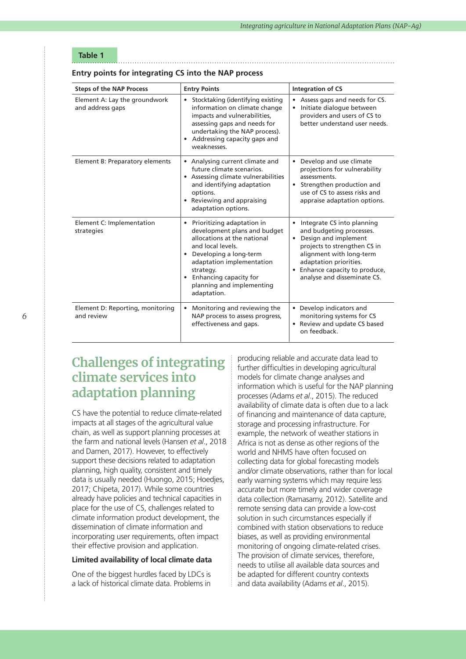### **Table 1**

#### **Entry points for integrating CS into the NAP process**

| <b>Steps of the NAP Process</b>                   | <b>Entry Points</b>                                                                                                                                                                                                                                                                | <b>Integration of CS</b>                                                                                                                                                                                                                                                   |
|---------------------------------------------------|------------------------------------------------------------------------------------------------------------------------------------------------------------------------------------------------------------------------------------------------------------------------------------|----------------------------------------------------------------------------------------------------------------------------------------------------------------------------------------------------------------------------------------------------------------------------|
| Element A: Lay the groundwork<br>and address gaps | Stocktaking (identifying existing<br>$\bullet$<br>information on climate change<br>impacts and vulnerabilities,<br>assessing gaps and needs for<br>undertaking the NAP process).<br>Addressing capacity gaps and<br>weaknesses.                                                    | Assess gaps and needs for CS.<br>$\bullet$<br>Initiate dialogue between<br>$\bullet$<br>providers and users of CS to<br>better understand user needs.                                                                                                                      |
| Element B: Preparatory elements                   | Analysing current climate and<br>$\bullet$<br>future climate scenarios.<br>Assessing climate vulnerabilities<br>$\bullet$<br>and identifying adaptation<br>options.<br>Reviewing and appraising<br>adaptation options.                                                             | Develop and use climate<br>$\bullet$<br>projections for vulnerability<br>assessments.<br>Strengthen production and<br>use of CS to assess risks and<br>appraise adaptation options.                                                                                        |
| Element C: Implementation<br>strategies           | Prioritizing adaptation in<br>$\bullet$<br>development plans and budget<br>allocations at the national<br>and local levels.<br>Developing a long-term<br>$\bullet$<br>adaptation implementation<br>strategy.<br>Enhancing capacity for<br>planning and implementing<br>adaptation. | Integrate CS into planning<br>$\bullet$<br>and budgeting processes.<br>Design and implement<br>$\bullet$<br>projects to strengthen CS in<br>alignment with long-term<br>adaptation priorities.<br>Enhance capacity to produce,<br>$\bullet$<br>analyse and disseminate CS. |
| Element D: Reporting, monitoring<br>and review    | Monitoring and reviewing the<br>$\bullet$<br>NAP process to assess progress,<br>effectiveness and gaps.                                                                                                                                                                            | Develop indicators and<br>$\bullet$<br>monitoring systems for CS<br>• Review and update CS based<br>on feedback.                                                                                                                                                           |

## **Challenges of integrating climate services into adaptation planning**

CS have the potential to reduce climate-related impacts at all stages of the agricultural value chain, as well as support planning processes at the farm and national levels (Hansen *et al*., 2018 and Damen, 2017). However, to effectively support these decisions related to adaptation planning, high quality, consistent and timely data is usually needed (Huongo, 2015; Hoedjes, 2017; Chipeta, 2017). While some countries already have policies and technical capacities in place for the use of CS, challenges related to climate information product development, the dissemination of climate information and incorporating user requirements, often impact their effective provision and application.

#### **Limited availability of local climate data**

One of the biggest hurdles faced by LDCs is a lack of historical climate data. Problems in

producing reliable and accurate data lead to further difficulties in developing agricultural models for climate change analyses and information which is useful for the NAP planning processes (Adams *et al*., 2015). The reduced availability of climate data is often due to a lack of financing and maintenance of data capture, storage and processing infrastructure. For example, the network of weather stations in Africa is not as dense as other regions of the world and NHMS have often focused on collecting data for global forecasting models and/or climate observations, rather than for local early warning systems which may require less accurate but more timely and wider coverage data collection (Ramasamy, 2012). Satellite and remote sensing data can provide a low-cost solution in such circumstances especially if combined with station observations to reduce biases, as well as providing environmental monitoring of ongoing climate-related crises. The provision of climate services, therefore, needs to utilise all available data sources and be adapted for different country contexts and data availability (Adams *et al*., 2015).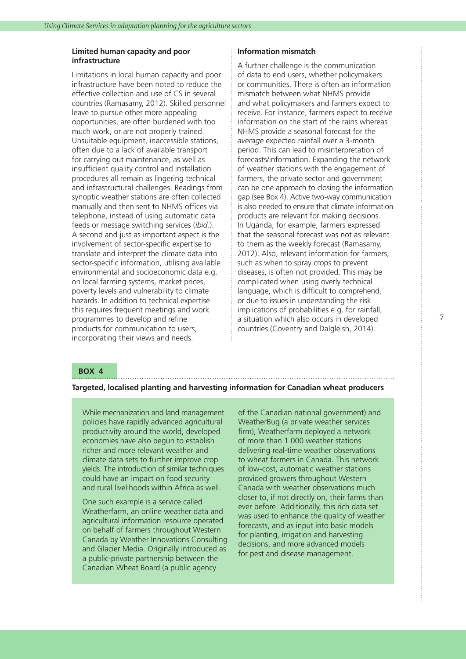#### **Limited human capacity and poor infrastructure**

Limitations in local human capacity and poor infrastructure have been noted to reduce the effective collection and use of CS in several countries (Ramasamy, 2012). Skilled personnel leave to pursue other more appealing opportunities, are often burdened with too much work, or are not properly trained. Unsuitable equipment, inaccessible stations, often due to a lack of available transport for carrying out maintenance, as well as insufficient quality control and installation procedures all remain as lingering technical and infrastructural challenges. Readings from synoptic weather stations are often collected manually and then sent to NHMS offices via telephone, instead of using automatic data feeds or message switching services (*ibid*.). A second and just as important aspect is the involvement of sector-specific expertise to translate and interpret the climate data into sector-specific information, utilising available environmental and socioeconomic data e.g. on local farming systems, market prices, poverty levels and vulnerability to climate hazards. In addition to technical expertise this requires frequent meetings and work programmes to develop and refine products for communication to users, incorporating their views and needs.

#### **Information mismatch**

A further challenge is the communication of data to end users, whether policymakers or communities. There is often an information mismatch between what NHMS provide and what policymakers and farmers expect to receive. For instance, farmers expect to receive information on the start of the rains whereas NHMS provide a seasonal forecast for the *average* expected rainfall over a 3-month period. This can lead to misinterpretation of forecasts/information. Expanding the network of weather stations with the engagement of farmers, the private sector and government can be one approach to closing the information gap (see Box 4). Active two-way communication is also needed to ensure that climate information products are relevant for making decisions. In Uganda, for example, farmers expressed that the seasonal forecast was not as relevant to them as the weekly forecast (Ramasamy, 2012). Also, relevant information for farmers, such as when to spray crops to prevent diseases, is often not provided. This may be complicated when using overly technical language, which is difficult to comprehend, or due to issues in understanding the risk implications of probabilities e.g. for rainfall, a situation which also occurs in developed countries (Coventry and Dalgleish, 2014).

#### **BOX 4**

**Targeted, localised planting and harvesting information for Canadian wheat producers**

While mechanization and land management policies have rapidly advanced agricultural productivity around the world, developed economies have also begun to establish richer and more relevant weather and climate data sets to further improve crop yields. The introduction of similar techniques could have an impact on food security and rural livelihoods within Africa as well.

One such example is a service called Weatherfarm, an online weather data and agricultural information resource operated on behalf of farmers throughout Western Canada by Weather Innovations Consulting and Glacier Media. Originally introduced as a public-private partnership between the Canadian Wheat Board (a public agency

of the Canadian national government) and WeatherBug (a private weather services firm), Weatherfarm deployed a network of more than 1 000 weather stations delivering real-time weather observations to wheat farmers in Canada. This network of low-cost, automatic weather stations provided growers throughout Western Canada with weather observations much closer to, if not directly on, their farms than ever before. Additionally, this rich data set was used to enhance the quality of weather forecasts, and as input into basic models for planting, irrigation and harvesting decisions, and more advanced models for pest and disease management.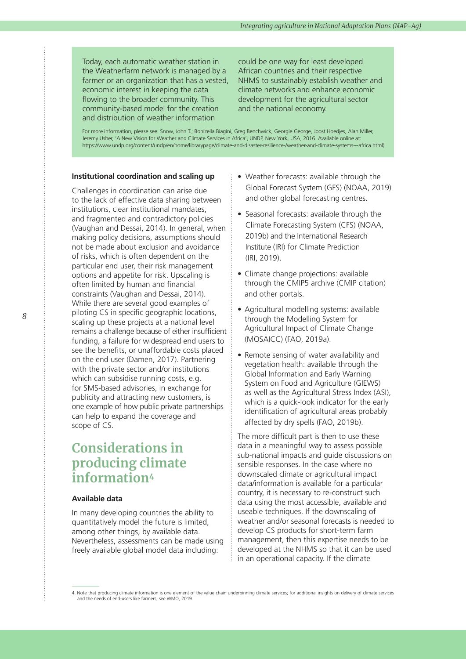Today, each automatic weather station in the Weatherfarm network is managed by a farmer or an organization that has a vested, economic interest in keeping the data flowing to the broader community. This community-based model for the creation and distribution of weather information

could be one way for least developed African countries and their respective NHMS to sustainably establish weather and climate networks and enhance economic development for the agricultural sector and the national economy.

For more information, please see: Snow, John T.; Bonizella Biagini, Greg Benchwick, Georgie George, Joost Hoedjes, Alan Miller, Jeremy Usher, 'A New Vision for Weather and Climate Services in Africa', UNDP, New York, USA, 2016. Available online at: https://www.undp.org/content/undp/en/home/librarypage/climate-and-disaster-resilience-/weather-and-climate-systems---africa.html)

#### **Institutional coordination and scaling up**

Challenges in coordination can arise due to the lack of effective data sharing between institutions, clear institutional mandates, and fragmented and contradictory policies (Vaughan and Dessai, 2014). In general, when making policy decisions, assumptions should not be made about exclusion and avoidance of risks, which is often dependent on the particular end user, their risk management options and appetite for risk. Upscaling is often limited by human and financial constraints (Vaughan and Dessai, 2014). While there are several good examples of piloting CS in specific geographic locations, scaling up these projects at a national level remains a challenge because of either insufficient funding, a failure for widespread end users to see the benefits, or unaffordable costs placed on the end user (Damen, 2017). Partnering with the private sector and/or institutions which can subsidise running costs, e.g. for SMS-based advisories, in exchange for publicity and attracting new customers, is one example of how public private partnerships can help to expand the coverage and scope of CS.

### **Considerations in producing climate information4**

#### **Available data**

In many developing countries the ability to quantitatively model the future is limited, among other things, by available data. Nevertheless, assessments can be made using freely available global model data including:

- Weather forecasts: available through the Global Forecast System (GFS) (NOAA, 2019) and other global forecasting centres.
- Seasonal forecasts: available through the Climate Forecasting System (CFS) (NOAA, 2019b) and the International Research Institute (IRI) for Climate Prediction (IRI, 2019).
- Climate change projections: available through the CMIP5 archive (CMIP citation) and other portals.
- Agricultural modelling systems: available through the Modelling System for Agricultural Impact of Climate Change (MOSAICC) (FAO, 2019a).
- Remote sensing of water availability and vegetation health: available through the Global Information and Early Warning System on Food and Agriculture (GIEWS) as well as the Agricultural Stress Index (ASI), which is a quick-look indicator for the early identification of agricultural areas probably affected by dry spells (FAO, 2019b).

The more difficult part is then to use these data in a meaningful way to assess possible sub-national impacts and guide discussions on sensible responses. In the case where no downscaled climate or agricultural impact data/information is available for a particular country, it is necessary to re-construct such data using the most accessible, available and useable techniques. If the downscaling of weather and/or seasonal forecasts is needed to develop CS products for short-term farm management, then this expertise needs to be developed at the NHMS so that it can be used in an operational capacity. If the climate

<sup>4.</sup> Note that producing climate information is one element of the value chain underpinning climate services; for additional insights on delivery of climate services and the needs of end-users like farmers, see WMO, 2019.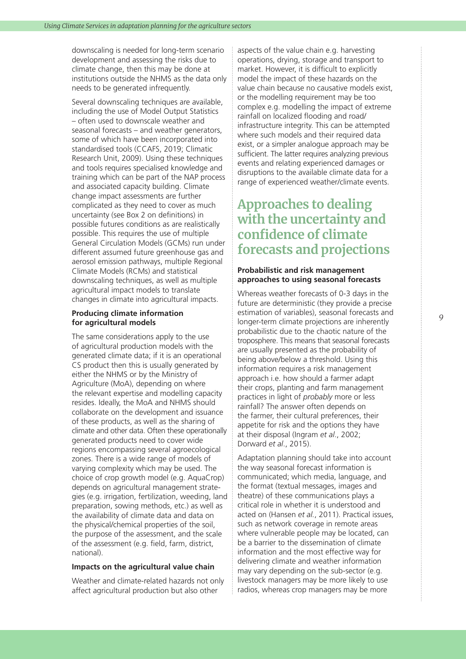downscaling is needed for long-term scenario development and assessing the risks due to climate change, then this may be done at institutions outside the NHMS as the data only needs to be generated infrequently.

Several downscaling techniques are available, including the use of Model Output Statistics – often used to downscale weather and seasonal forecasts – and weather generators, some of which have been incorporated into standardised tools (CCAFS, 2019; Climatic Research Unit, 2009). Using these techniques and tools requires specialised knowledge and training which can be part of the NAP process and associated capacity building. Climate change impact assessments are further complicated as they need to cover as much uncertainty (see Box 2 on definitions) in possible futures conditions as are realistically possible. This requires the use of multiple General Circulation Models (GCMs) run under different assumed future greenhouse gas and aerosol emission pathways, multiple Regional Climate Models (RCMs) and statistical downscaling techniques, as well as multiple agricultural impact models to translate changes in climate into agricultural impacts.

#### **Producing climate information for agricultural models**

The same considerations apply to the use of agricultural production models with the generated climate data; if it is an operational CS product then this is usually generated by either the NHMS or by the Ministry of Agriculture (MoA), depending on where the relevant expertise and modelling capacity resides. Ideally, the MoA and NHMS should collaborate on the development and issuance of these products, as well as the sharing of climate and other data. Often these operationally generated products need to cover wide regions encompassing several agroecological zones. There is a wide range of models of varying complexity which may be used. The choice of crop growth model (e.g. AquaCrop) depends on agricultural management strategies (e.g. irrigation, fertilization, weeding, land preparation, sowing methods, etc.) as well as the availability of climate data and data on the physical/chemical properties of the soil, the purpose of the assessment, and the scale of the assessment (e.g. field, farm, district, national).

#### **Impacts on the agricultural value chain**

Weather and climate-related hazards not only affect agricultural production but also other

aspects of the value chain e.g. harvesting operations, drying, storage and transport to market. However, it is difficult to explicitly model the impact of these hazards on the value chain because no causative models exist, or the modelling requirement may be too complex e.g. modelling the impact of extreme rainfall on localized flooding and road/ infrastructure integrity. This can be attempted where such models and their required data exist, or a simpler analogue approach may be sufficient. The latter requires analyzing previous events and relating experienced damages or disruptions to the available climate data for a range of experienced weather/climate events.

### **Approaches to dealing with the uncertainty and confidence of climate forecasts and projections**

#### **Probabilistic and risk management approaches to using seasonal forecasts**

Whereas weather forecasts of 0-3 days in the future are deterministic (they provide a precise estimation of variables), seasonal forecasts and longer-term climate projections are inherently probabilistic due to the chaotic nature of the troposphere. This means that seasonal forecasts are usually presented as the probability of being above/below a threshold. Using this information requires a risk management approach i.e. how should a farmer adapt their crops, planting and farm management practices in light of *probably* more or less rainfall? The answer often depends on the farmer, their cultural preferences, their appetite for risk and the options they have at their disposal (Ingram *et al*., 2002; Dorward *et al*., 2015).

Adaptation planning should take into account the way seasonal forecast information is communicated; which media, language, and the format (textual messages, images and theatre) of these communications plays a critical role in whether it is understood and acted on (Hansen *et al.*, 2011). Practical issues, such as network coverage in remote areas where vulnerable people may be located, can be a barrier to the dissemination of climate information and the most effective way for delivering climate and weather information may vary depending on the sub-sector (e.g. livestock managers may be more likely to use radios, whereas crop managers may be more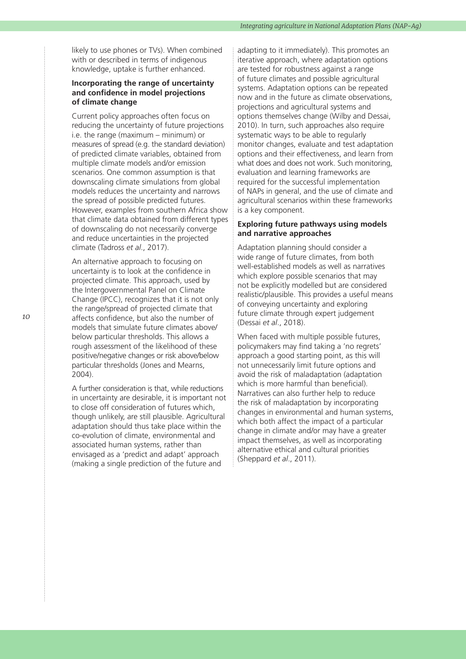likely to use phones or TVs). When combined with or described in terms of indigenous knowledge, uptake is further enhanced.

#### **Incorporating the range of uncertainty and confidence in model projections of climate change**

Current policy approaches often focus on reducing the uncertainty of future projections i.e. the range (maximum – minimum) or measures of spread (e.g. the standard deviation) of predicted climate variables, obtained from multiple climate models and/or emission scenarios. One common assumption is that downscaling climate simulations from global models reduces the uncertainty and narrows the spread of possible predicted futures. However, examples from southern Africa show that climate data obtained from different types of downscaling do not necessarily converge and reduce uncertainties in the projected climate (Tadross *et al*., 2017).

An alternative approach to focusing on uncertainty is to look at the confidence in projected climate. This approach, used by the Intergovernmental Panel on Climate Change (IPCC), recognizes that it is not only the range/spread of projected climate that affects confidence, but also the number of models that simulate future climates above/ below particular thresholds. This allows a rough assessment of the likelihood of these positive/negative changes or risk above/below particular thresholds (Jones and Mearns, 2004).

A further consideration is that, while reductions in uncertainty are desirable, it is important not to close off consideration of futures which, though unlikely, are still plausible. Agricultural adaptation should thus take place within the co-evolution of climate, environmental and associated human systems, rather than envisaged as a 'predict and adapt' approach (making a single prediction of the future and

adapting to it immediately). This promotes an iterative approach, where adaptation options are tested for robustness against a range of future climates and possible agricultural systems. Adaptation options can be repeated now and in the future as climate observations, projections and agricultural systems and options themselves change (Wilby and Dessai, 2010). In turn, such approaches also require systematic ways to be able to regularly monitor changes, evaluate and test adaptation options and their effectiveness, and learn from what does and does not work. Such monitoring, evaluation and learning frameworks are required for the successful implementation of NAPs in general, and the use of climate and agricultural scenarios within these frameworks is a key component.

#### **Exploring future pathways using models and narrative approaches**

Adaptation planning should consider a wide range of future climates, from both well-established models as well as narratives which explore possible scenarios that may not be explicitly modelled but are considered realistic/plausible. This provides a useful means of conveying uncertainty and exploring future climate through expert judgement (Dessai *et al*., 2018).

When faced with multiple possible futures, policymakers may find taking a 'no regrets' approach a good starting point, as this will not unnecessarily limit future options and avoid the risk of maladaptation (adaptation which is more harmful than beneficial). Narratives can also further help to reduce the risk of maladaptation by incorporating changes in environmental and human systems, which both affect the impact of a particular change in climate and/or may have a greater impact themselves, as well as incorporating alternative ethical and cultural priorities (Sheppard *et al*., 2011).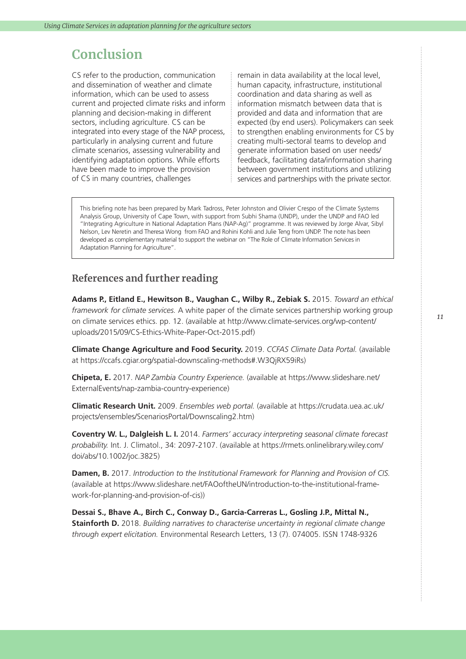# **Conclusion**

CS refer to the production, communication and dissemination of weather and climate information, which can be used to assess current and projected climate risks and inform planning and decision-making in different sectors, including agriculture. CS can be integrated into every stage of the NAP process, particularly in analysing current and future climate scenarios, assessing vulnerability and identifying adaptation options. While efforts have been made to improve the provision of CS in many countries, challenges

remain in data availability at the local level, human capacity, infrastructure, institutional coordination and data sharing as well as information mismatch between data that is provided and data and information that are expected (by end users). Policymakers can seek to strengthen enabling environments for CS by creating multi-sectoral teams to develop and generate information based on user needs/ feedback, facilitating data/information sharing between government institutions and utilizing services and partnerships with the private sector.

This briefing note has been prepared by Mark Tadross, Peter Johnston and Olivier Crespo of the Climate Systems Analysis Group, University of Cape Town, with support from Subhi Shama (UNDP), under the UNDP and FAO led "Integrating Agriculture in National Adaptation Plans (NAP-Ag)" programme. It was reviewed by Jorge Alvar, Sibyl Nelson, Lev Neretin and Theresa Wong from FAO and Rohini Kohli and Julie Teng from UNDP. The note has been developed as complementary material to support the webinar on "The Role of Climate Information Services in Adaptation Planning for Agriculture".

### **References and further reading**

**Adams P., Eitland E., Hewitson B., Vaughan C., Wilby R., Zebiak S.** 2015. *Toward an ethical framework for climate services.* A white paper of the climate services partnership working group on climate services ethics. pp. 12. (available at http://www.climate-services.org/wp-content/ uploads/2015/09/CS-Ethics-White-Paper-Oct-2015.pdf)

**Climate Change Agriculture and Food Security.** 2019. *CCFAS Climate Data Portal.* (available at https://ccafs.cgiar.org/spatial-downscaling-methods#.W3QjRX59iRs)

**Chipeta, E.** 2017. *NAP Zambia Country Experience.* (available at https://www.slideshare.net/ ExternalEvents/nap-zambia-country-experience)

**Climatic Research Unit.** 2009. *Ensembles web portal.* (available at https://crudata.uea.ac.uk/ projects/ensembles/ScenariosPortal/Downscaling2.htm)

**Coventry W. L., Dalgleish L. I.** 2014. *Farmers' accuracy interpreting seasonal climate forecast probability.* Int. J. Climatol., 34: 2097-2107. (available at https://rmets.onlinelibrary.wiley.com/ doi/abs/10.1002/joc.3825)

**Damen, B.** 2017. *Introduction to the Institutional Framework for Planning and Provision of CIS.*  (available at https://www.slideshare.net/FAOoftheUN/introduction-to-the-institutional-framework-for-planning-and-provision-of-cis))

**Dessai S., Bhave A., Birch C., Conway D., Garcia-Carreras L., Gosling J.P., Mittal N., Stainforth D.** 2018. *Building narratives to characterise uncertainty in regional climate change through expert elicitation.* Environmental Research Letters, 13 (7). 074005. ISSN 1748-9326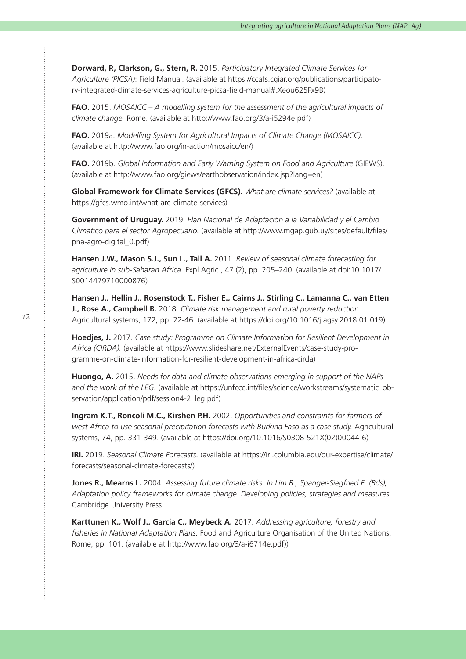**Dorward, P., Clarkson, G., Stern, R.** 2015. *Participatory Integrated Climate Services for Agriculture (PICSA)*: Field Manual. (available at https://ccafs.cgiar.org/publications/participatory-integrated-climate-services-agriculture-picsa-field-manual#.Xeou625Fx9B)

**FAO.** 2015. *MOSAICC – A modelling system for the assessment of the agricultural impacts of climate change.* Rome. (available at http://www.fao.org/3/a-i5294e.pdf)

**FAO.** 2019a. *Modelling System for Agricultural Impacts of Climate Change (MOSAICC).*  (available at http://www.fao.org/in-action/mosaicc/en/)

**FAO.** 2019b. *Global Information and Early Warning System on Food and Agriculture* (GIEWS). (available at http://www.fao.org/giews/earthobservation/index.jsp?lang=en)

**Global Framework for Climate Services (GFCS).** *What are climate services?* (available at https://gfcs.wmo.int/what-are-climate-services)

**Government of Uruguay.** 2019. *Plan Nacional de Adaptación a la Variabilidad y el Cambio Climático para el sector Agropecuario.* (available at http://www.mgap.gub.uy/sites/default/files/ pna-agro-digital\_0.pdf)

**Hansen J.W., Mason S.J., Sun L., Tall A.** 2011. *Review of seasonal climate forecasting for agriculture in sub-Saharan Africa.* Expl Agric., 47 (2), pp. 205–240. (available at doi:10.1017/ S0014479710000876)

**Hansen J., Hellin J., Rosenstock T., Fisher E., Cairns J., Stirling C., Lamanna C., van Etten J., Rose A., Campbell B.** 2018. *Climate risk management and rural poverty reduction.* Agricultural systems, 172, pp. 22-46. (available at https://doi.org/10.1016/j.agsy.2018.01.019)

**Hoedjes, J.** 2017. *Case study: Programme on Climate Information for Resilient Development in Africa (CIRDA).* (available at https://www.slideshare.net/ExternalEvents/case-study-programme-on-climate-information-for-resilient-development-in-africa-cirda)

**Huongo, A.** 2015. *Needs for data and climate observations emerging in support of the NAPs and the work of the LEG.* (available at https://unfccc.int/files/science/workstreams/systematic\_observation/application/pdf/session4-2\_leg.pdf)

**Ingram K.T., Roncoli M.C., Kirshen P.H.** 2002. *Opportunities and constraints for farmers of west Africa to use seasonal precipitation forecasts with Burkina Faso as a case study.* Agricultural systems, 74, pp. 331-349. (available at https://doi.org/10.1016/S0308-521X(02)00044-6)

**IRI.** 2019. *Seasonal Climate Forecasts.* (available at https://iri.columbia.edu/our-expertise/climate/ forecasts/seasonal-climate-forecasts/)

**Jones R., Mearns L.** 2004. *Assessing future climate risks. In Lim B., Spanger-Siegfried E. (Rds), Adaptation policy frameworks for climate change: Developing policies, strategies and measures.*  Cambridge University Press.

**Karttunen K., Wolf J., Garcia C., Meybeck A.** 2017. *Addressing agriculture, forestry and fisheries in National Adaptation Plans.* Food and Agriculture Organisation of the United Nations, Rome, pp. 101. (available at http://www.fao.org/3/a-i6714e.pdf))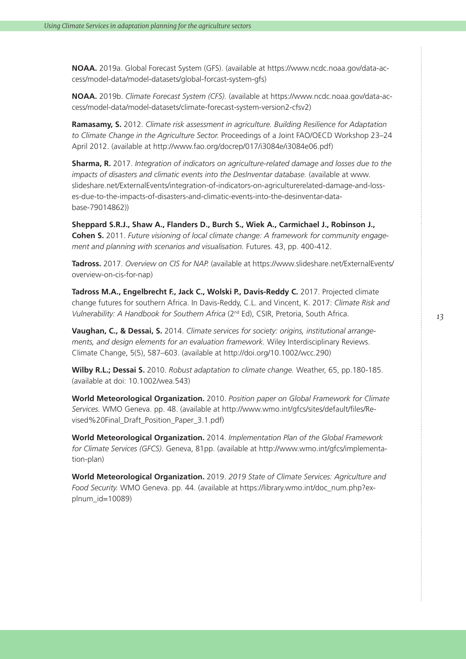**NOAA.** 2019a. Global Forecast System (GFS). (available at https://www.ncdc.noaa.gov/data-access/model-data/model-datasets/global-forcast-system-gfs)

**NOAA.** 2019b. *Climate Forecast System (CFS).* (available at https://www.ncdc.noaa.gov/data-access/model-data/model-datasets/climate-forecast-system-version2-cfsv2)

**Ramasamy, S.** 2012. *Climate risk assessment in agriculture. Building Resilience for Adaptation to Climate Change in the Agriculture Sector.* Proceedings of a Joint FAO/OECD Workshop 23–24 April 2012. (available at http://www.fao.org/docrep/017/i3084e/i3084e06.pdf)

**Sharma, R.** 2017. *Integration of indicators on agriculture-related damage and losses due to the impacts of disasters and climatic events into the DesInventar database.* (available at www. slideshare.net/ExternalEvents/integration-of-indicators-on-agriculturerelated-damage-and-losses-due-to-the-impacts-of-disasters-and-climatic-events-into-the-desinventar-database-79014862))

**Sheppard S.R.J., Shaw A., Flanders D., Burch S., Wiek A., Carmichael J., Robinson J., Cohen S.** 2011. *Future visioning of local climate change: A framework for community engagement and planning with scenarios and visualisation.* Futures. 43, pp. 400-412.

**Tadross.** 2017. *Overview on CIS for NAP.* (available at https://www.slideshare.net/ExternalEvents/ overview-on-cis-for-nap)

**Tadross M.A., Engelbrecht F., Jack C., Wolski P., Davis-Reddy C.** 2017. Projected climate change futures for southern Africa. In Davis-Reddy, C.L. and Vincent, K. 2017: *Climate Risk and Vulnerability: A Handbook for Southern Africa* (2nd Ed), CSIR, Pretoria, South Africa.

**Vaughan, C., & Dessai, S.** 2014. *Climate services for society: origins, institutional arrangements, and design elements for an evaluation framework.* Wiley Interdisciplinary Reviews. Climate Change, 5(5), 587–603. (available at http://doi.org/10.1002/wcc.290)

**Wilby R.L.; Dessai S.** 2010. *Robust adaptation to climate change.* Weather, 65, pp.180-185. (available at doi: 10.1002/wea.543)

**World Meteorological Organization.** 2010. *Position paper on Global Framework for Climate Services.* WMO Geneva. pp. 48. (available at http://www.wmo.int/gfcs/sites/default/files/Revised%20Final\_Draft\_Position\_Paper\_3.1.pdf)

**World Meteorological Organization.** 2014. *Implementation Plan of the Global Framework for Climate Services (GFCS).* Geneva, 81pp. (available at http://www.wmo.int/gfcs/implementation-plan)

**World Meteorological Organization.** 2019. *2019 State of Climate Services: Agriculture and Food Security.* WMO Geneva. pp. 44. (available at https://library.wmo.int/doc\_num.php?explnum\_id=10089)